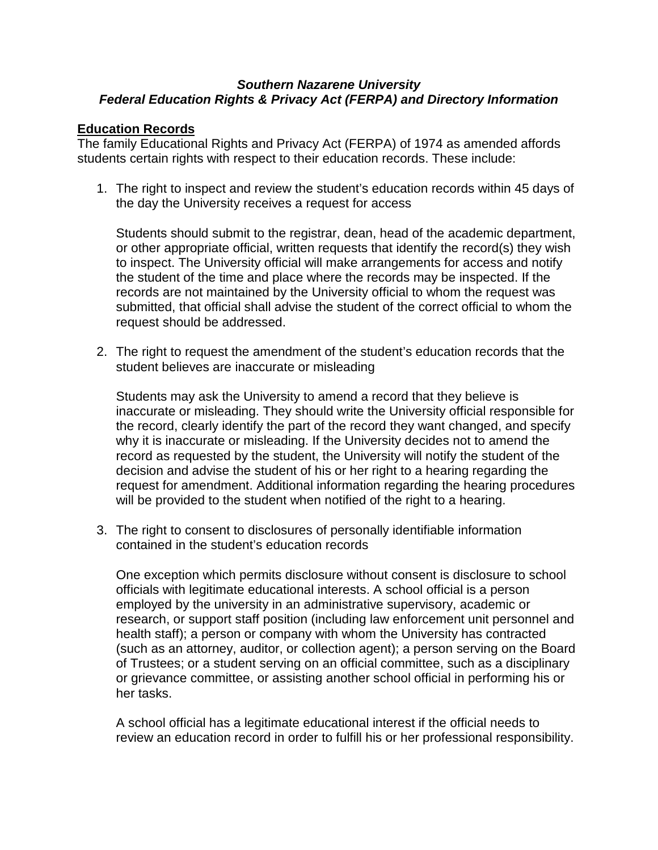## *Southern Nazarene University Federal Education Rights & Privacy Act (FERPA) and Directory Information*

## **Education Records**

The family Educational Rights and Privacy Act (FERPA) of 1974 as amended affords students certain rights with respect to their education records. These include:

1. The right to inspect and review the student's education records within 45 days of the day the University receives a request for access

Students should submit to the registrar, dean, head of the academic department, or other appropriate official, written requests that identify the record(s) they wish to inspect. The University official will make arrangements for access and notify the student of the time and place where the records may be inspected. If the records are not maintained by the University official to whom the request was submitted, that official shall advise the student of the correct official to whom the request should be addressed.

2. The right to request the amendment of the student's education records that the student believes are inaccurate or misleading

Students may ask the University to amend a record that they believe is inaccurate or misleading. They should write the University official responsible for the record, clearly identify the part of the record they want changed, and specify why it is inaccurate or misleading. If the University decides not to amend the record as requested by the student, the University will notify the student of the decision and advise the student of his or her right to a hearing regarding the request for amendment. Additional information regarding the hearing procedures will be provided to the student when notified of the right to a hearing.

3. The right to consent to disclosures of personally identifiable information contained in the student's education records

One exception which permits disclosure without consent is disclosure to school officials with legitimate educational interests. A school official is a person employed by the university in an administrative supervisory, academic or research, or support staff position (including law enforcement unit personnel and health staff); a person or company with whom the University has contracted (such as an attorney, auditor, or collection agent); a person serving on the Board of Trustees; or a student serving on an official committee, such as a disciplinary or grievance committee, or assisting another school official in performing his or her tasks.

A school official has a legitimate educational interest if the official needs to review an education record in order to fulfill his or her professional responsibility.